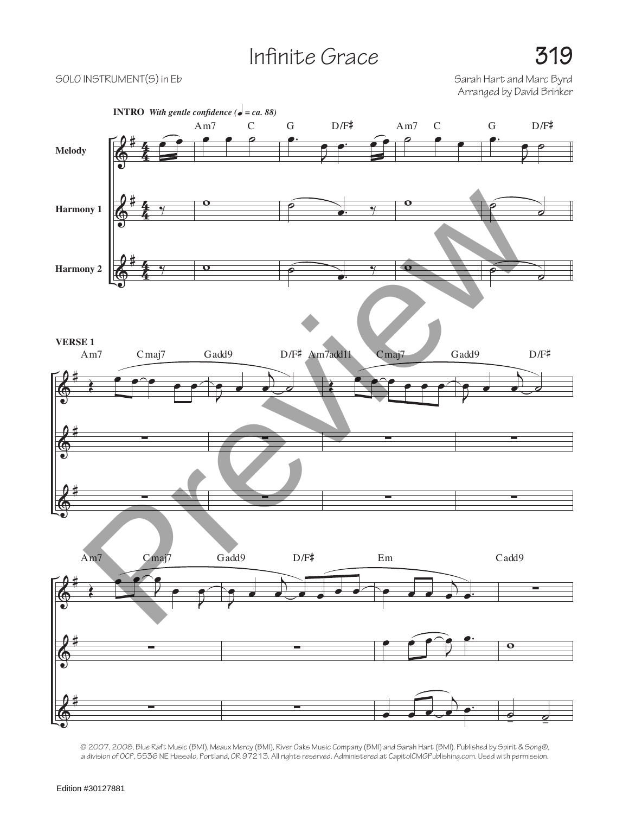## Infinite Grace **319**

SOLO INSTRUMENT(S) in Eb Solo Instrument (S) in Eb Sarah Hart and Marc Byrd Arranged by David Brinker



© 2007, 2008, Blue Raft Music (BMI), Meaux Mercy (BMI), River Oaks Music Company (BMI) and Sarah Hart (BMI). Published by Spirit & Song®, a division of OCP, 5536 NE Hassalo, Portland, OR 97213. All rights reserved. Administered at CapitolCMGPublishing.com. Used with permission.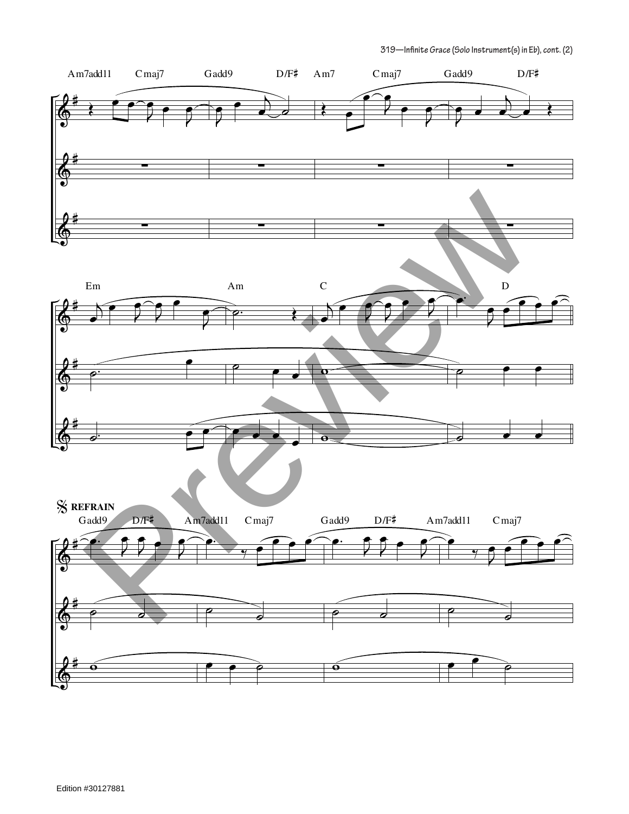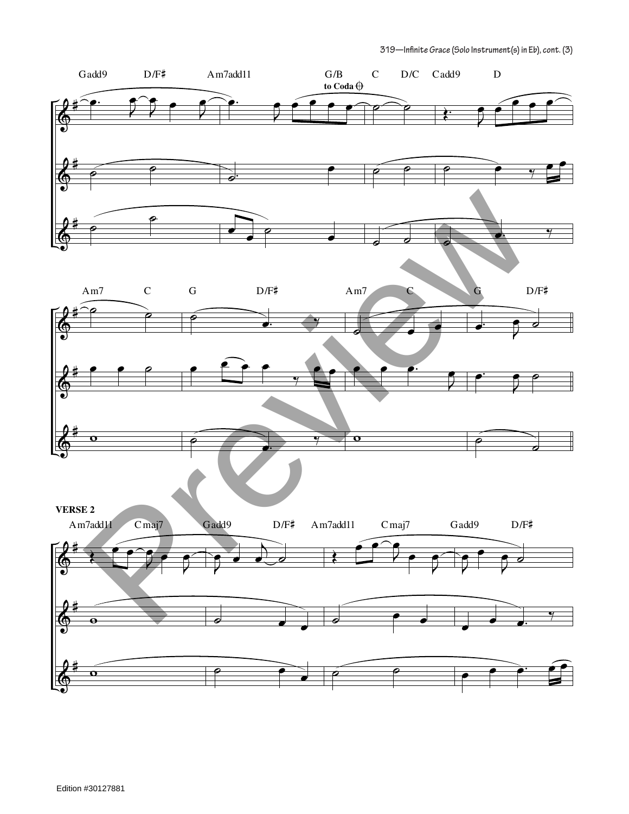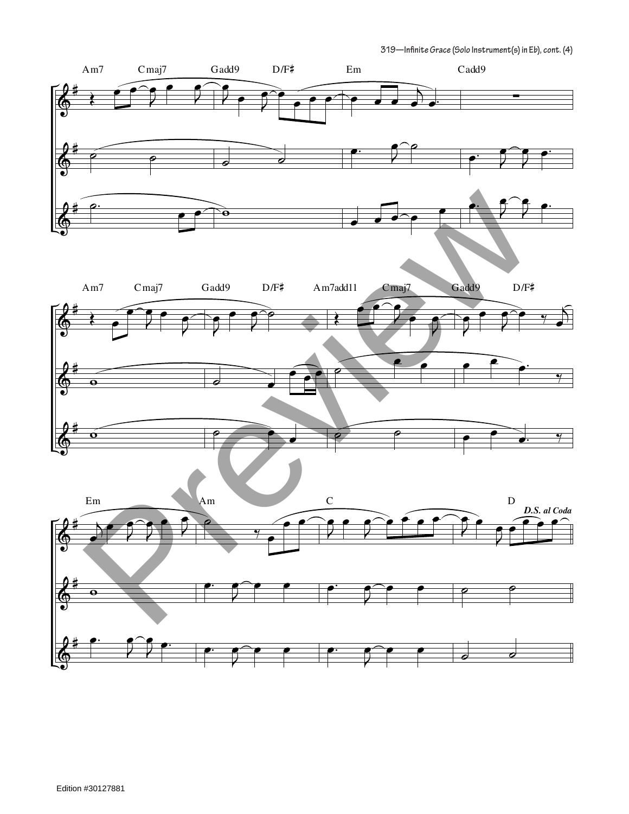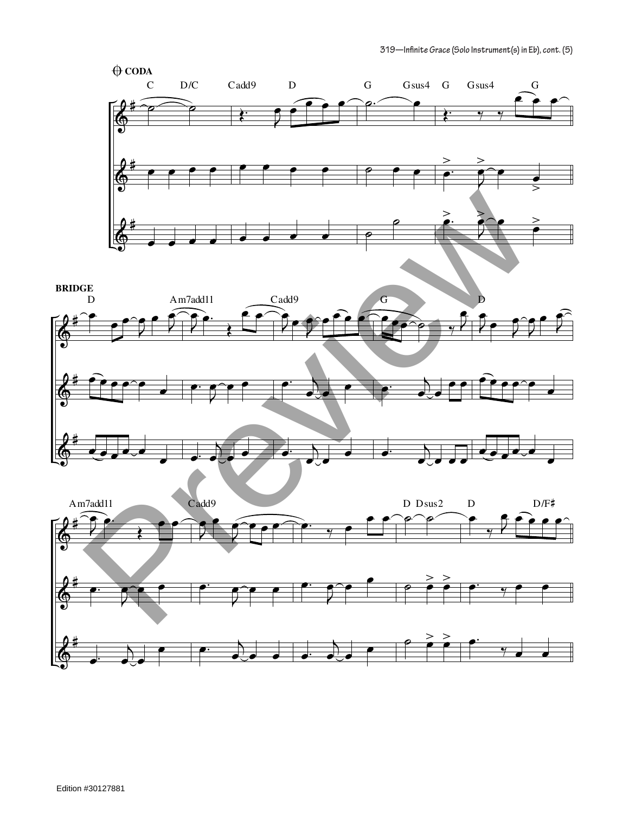